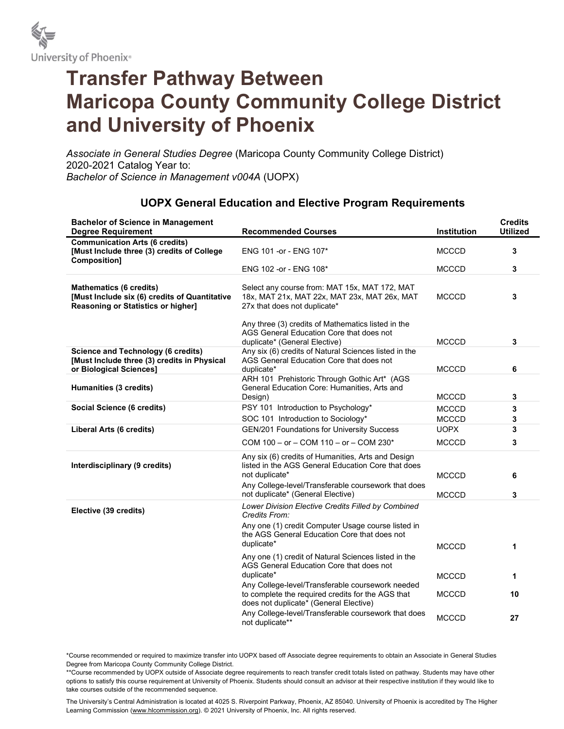

## Transfer Pathway Between Maricopa County Community College District and University of Phoenix

Associate in General Studies Degree (Maricopa County Community College District) 2020-2021 Catalog Year to: Bachelor of Science in Management v004A (UOPX)

| <b>Bachelor of Science in Management</b><br><b>Degree Requirement</b>                                                 | <b>Recommended Courses</b>                                                                                                                                                        | Institution                  | <b>Credits</b><br><b>Utilized</b> |
|-----------------------------------------------------------------------------------------------------------------------|-----------------------------------------------------------------------------------------------------------------------------------------------------------------------------------|------------------------------|-----------------------------------|
| <b>Communication Arts (6 credits)</b><br>[Must Include three (3) credits of College<br>Composition]                   | ENG 101 -or - ENG 107*                                                                                                                                                            | <b>MCCCD</b>                 | 3                                 |
|                                                                                                                       | ENG 102 -or - ENG 108*                                                                                                                                                            | <b>MCCCD</b>                 | 3                                 |
| <b>Mathematics (6 credits)</b><br>[Must Include six (6) credits of Quantitative<br>Reasoning or Statistics or higher] | Select any course from: MAT 15x, MAT 172, MAT<br>18x, MAT 21x, MAT 22x, MAT 23x, MAT 26x, MAT<br>27x that does not duplicate*                                                     | <b>MCCCD</b>                 | 3                                 |
|                                                                                                                       | Any three (3) credits of Mathematics listed in the<br>AGS General Education Core that does not<br>duplicate* (General Elective)                                                   | <b>MCCCD</b>                 | 3                                 |
| <b>Science and Technology (6 credits)</b><br>[Must Include three (3) credits in Physical<br>or Biological Sciences]   | Any six (6) credits of Natural Sciences listed in the<br>AGS General Education Core that does not<br>duplicate*                                                                   | <b>MCCCD</b>                 | 6                                 |
| Humanities (3 credits)                                                                                                | ARH 101 Prehistoric Through Gothic Art* (AGS<br>General Education Core: Humanities, Arts and<br>Design)                                                                           | <b>MCCCD</b>                 | 3                                 |
| Social Science (6 credits)                                                                                            | PSY 101 Introduction to Psychology*<br>SOC 101 Introduction to Sociology*                                                                                                         | <b>MCCCD</b><br><b>MCCCD</b> | 3<br>3                            |
| <b>Liberal Arts (6 credits)</b>                                                                                       | <b>GEN/201 Foundations for University Success</b>                                                                                                                                 | <b>UOPX</b>                  | 3                                 |
|                                                                                                                       | COM 100 - or - COM 110 - or - COM 230*                                                                                                                                            | <b>MCCCD</b>                 | 3                                 |
| Interdisciplinary (9 credits)                                                                                         | Any six (6) credits of Humanities, Arts and Design<br>listed in the AGS General Education Core that does<br>not duplicate*<br>Any College-level/Transferable coursework that does | <b>MCCCD</b>                 | 6                                 |
|                                                                                                                       | not duplicate* (General Elective)                                                                                                                                                 | <b>MCCCD</b>                 | 3                                 |
| Elective (39 credits)                                                                                                 | Lower Division Elective Credits Filled by Combined<br>Credits From:                                                                                                               |                              |                                   |
|                                                                                                                       | Any one (1) credit Computer Usage course listed in<br>the AGS General Education Core that does not<br>duplicate*                                                                  | <b>MCCCD</b>                 | 1                                 |
|                                                                                                                       | Any one (1) credit of Natural Sciences listed in the<br>AGS General Education Core that does not<br>duplicate*                                                                    | <b>MCCCD</b>                 | 1                                 |
|                                                                                                                       | Any College-level/Transferable coursework needed<br>to complete the required credits for the AGS that<br>does not duplicate* (General Elective)                                   | <b>MCCCD</b>                 | 10                                |
|                                                                                                                       | Any College-level/Transferable coursework that does<br>not duplicate**                                                                                                            | <b>MCCCD</b>                 | 27                                |

## UOPX General Education and Elective Program Requirements

\*Course recommended or required to maximize transfer into UOPX based off Associate degree requirements to obtain an Associate in General Studies Degree from Maricopa County Community College District.

\*\*Course recommended by UOPX outside of Associate degree requirements to reach transfer credit totals listed on pathway. Students may have other options to satisfy this course requirement at University of Phoenix. Students should consult an advisor at their respective institution if they would like to take courses outside of the recommended sequence.

The University's Central Administration is located at 4025 S. Riverpoint Parkway, Phoenix, AZ 85040. University of Phoenix is accredited by The Higher Learning Commission (www.hlcommission.org). © 2021 University of Phoenix, Inc. All rights reserved.